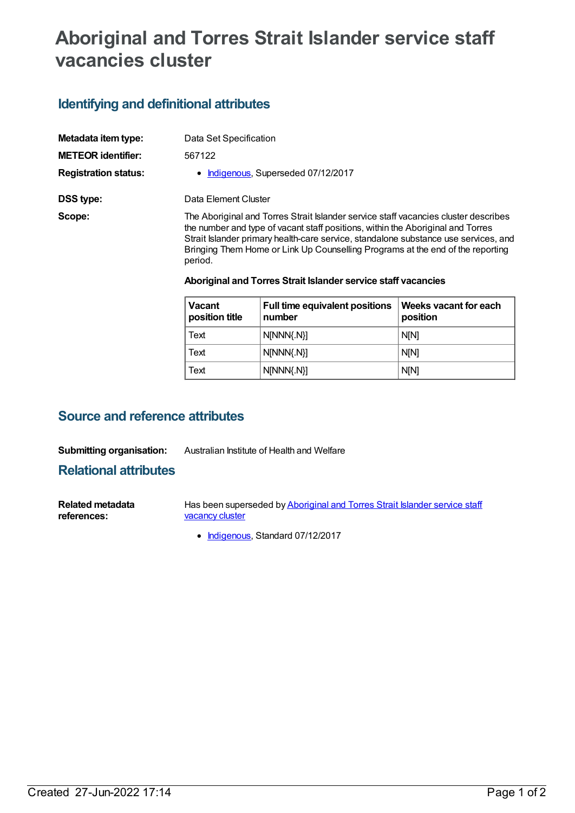# **Aboriginal and Torres Strait Islander service staff vacancies cluster**

### **Identifying and definitional attributes**

| Metadata item type:         | Data Set Specification                                                                                                                                                                                                                                                                                                                                     |
|-----------------------------|------------------------------------------------------------------------------------------------------------------------------------------------------------------------------------------------------------------------------------------------------------------------------------------------------------------------------------------------------------|
| <b>METEOR</b> identifier:   | 567122                                                                                                                                                                                                                                                                                                                                                     |
| <b>Registration status:</b> | • Indigenous, Superseded 07/12/2017                                                                                                                                                                                                                                                                                                                        |
| DSS type:                   | Data Element Cluster                                                                                                                                                                                                                                                                                                                                       |
| Scope:                      | The Aboriginal and Torres Strait Islander service staff vacancies cluster describes<br>the number and type of vacant staff positions, within the Aboriginal and Torres<br>Strait Islander primary health-care service, standalone substance use services, and<br>Bringing Them Home or Link Up Counselling Programs at the end of the reporting<br>period. |

#### **Aboriginal and Torres Strait Islander service staff vacancies**

| <b>Vacant</b><br>position title | Full time equivalent positions<br>number | Weeks vacant for each<br>position |
|---------------------------------|------------------------------------------|-----------------------------------|
| Text                            | $N[NNN\{N\}]$                            | <b>N[N]</b>                       |
| Text                            | $N[NNN\{N\}]$                            | <b>N[N]</b>                       |
| Text                            | $N[NNN\{N\}]$                            | <b>N[N]</b>                       |

### **Source and reference attributes**

#### **Submitting organisation:** Australian Institute of Health and Welfare

**Relational attributes**

| <b>Related metadata</b> | Has been superseded by Aboriginal and Torres Strait Islander service staff |
|-------------------------|----------------------------------------------------------------------------|
| references:             | vacancy cluster                                                            |

• [Indigenous](https://meteor.aihw.gov.au/RegistrationAuthority/6), Standard 07/12/2017